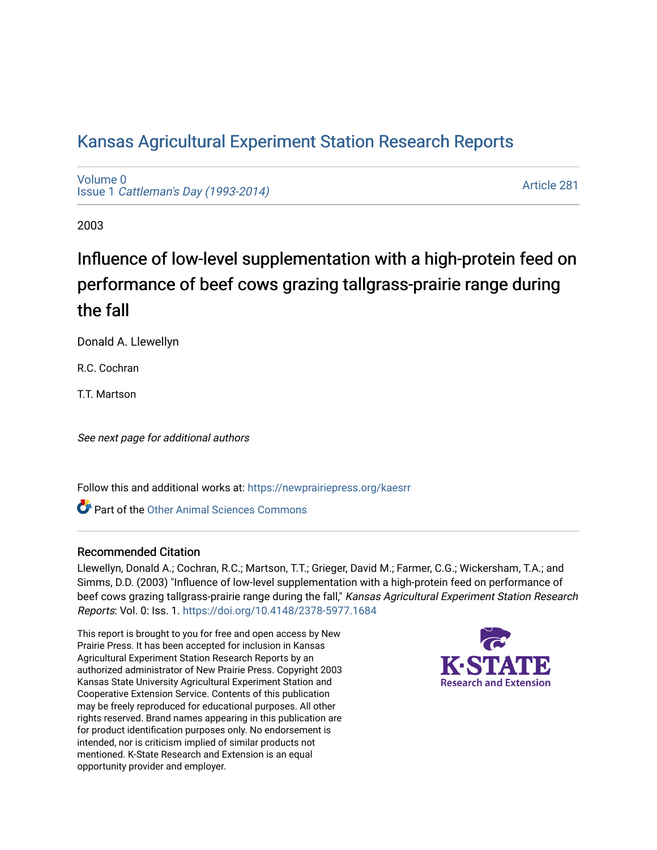# [Kansas Agricultural Experiment Station Research Reports](https://newprairiepress.org/kaesrr)

[Volume 0](https://newprairiepress.org/kaesrr/vol0) Issue 1 [Cattleman's Day \(1993-2014\)](https://newprairiepress.org/kaesrr/vol0/iss1) 

[Article 281](https://newprairiepress.org/kaesrr/vol0/iss1/281) 

2003

# Influence of low-level supplementation with a high-protein feed on performance of beef cows grazing tallgrass-prairie range during the fall

Donald A. Llewellyn

R.C. Cochran

**TT**. Martson

See next page for additional authors

Follow this and additional works at: [https://newprairiepress.org/kaesrr](https://newprairiepress.org/kaesrr?utm_source=newprairiepress.org%2Fkaesrr%2Fvol0%2Fiss1%2F281&utm_medium=PDF&utm_campaign=PDFCoverPages) 

**C** Part of the [Other Animal Sciences Commons](http://network.bepress.com/hgg/discipline/82?utm_source=newprairiepress.org%2Fkaesrr%2Fvol0%2Fiss1%2F281&utm_medium=PDF&utm_campaign=PDFCoverPages)

#### Recommended Citation

Llewellyn, Donald A.; Cochran, R.C.; Martson, T.T.; Grieger, David M.; Farmer, C.G.; Wickersham, T.A.; and Simms, D.D. (2003) "Influence of low-level supplementation with a high-protein feed on performance of beef cows grazing tallgrass-prairie range during the fall," Kansas Agricultural Experiment Station Research Reports: Vol. 0: Iss. 1.<https://doi.org/10.4148/2378-5977.1684>

This report is brought to you for free and open access by New Prairie Press. It has been accepted for inclusion in Kansas Agricultural Experiment Station Research Reports by an authorized administrator of New Prairie Press. Copyright 2003 Kansas State University Agricultural Experiment Station and Cooperative Extension Service. Contents of this publication may be freely reproduced for educational purposes. All other rights reserved. Brand names appearing in this publication are for product identification purposes only. No endorsement is intended, nor is criticism implied of similar products not mentioned. K-State Research and Extension is an equal opportunity provider and employer.

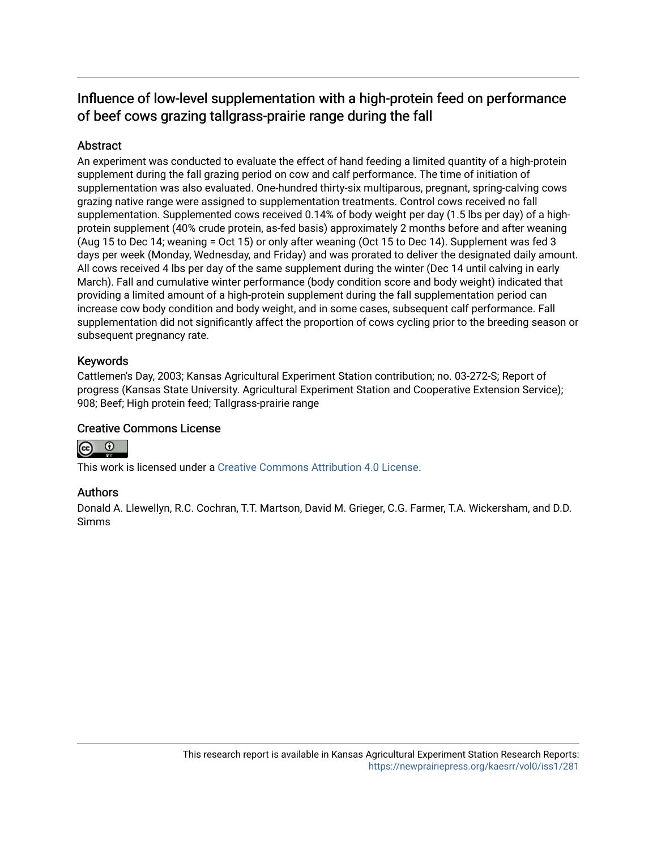# Influence of low-level supplementation with a high-protein feed on performance of beef cows grazing tallgrass-prairie range during the fall

## Abstract

An experiment was conducted to evaluate the effect of hand feeding a limited quantity of a high-protein supplement during the fall grazing period on cow and calf performance. The time of initiation of supplementation was also evaluated. One-hundred thirty-six multiparous, pregnant, spring-calving cows grazing native range were assigned to supplementation treatments. Control cows received no fall supplementation. Supplemented cows received 0.14% of body weight per day (1.5 lbs per day) of a highprotein supplement (40% crude protein, as-fed basis) approximately 2 months before and after weaning (Aug 15 to Dec 14; weaning = Oct 15) or only after weaning (Oct 15 to Dec 14). Supplement was fed 3 days per week (Monday, Wednesday, and Friday) and was prorated to deliver the designated daily amount. All cows received 4 lbs per day of the same supplement during the winter (Dec 14 until calving in early March). Fall and cumulative winter performance (body condition score and body weight) indicated that providing a limited amount of a high-protein supplement during the fall supplementation period can increase cow body condition and body weight, and in some cases, subsequent calf performance. Fall supplementation did not significantly affect the proportion of cows cycling prior to the breeding season or subsequent pregnancy rate.

### Keywords

Cattlemen's Day, 2003; Kansas Agricultural Experiment Station contribution; no. 03-272-S; Report of progress (Kansas State University. Agricultural Experiment Station and Cooperative Extension Service); 908; Beef; High protein feed; Tallgrass-prairie range

#### Creative Commons License



This work is licensed under a [Creative Commons Attribution 4.0 License](https://creativecommons.org/licenses/by/4.0/).

## Authors

Donald A. Llewellyn, R.C. Cochran, T.T. Martson, David M. Grieger, C.G. Farmer, T.A. Wickersham, and D.D. Simms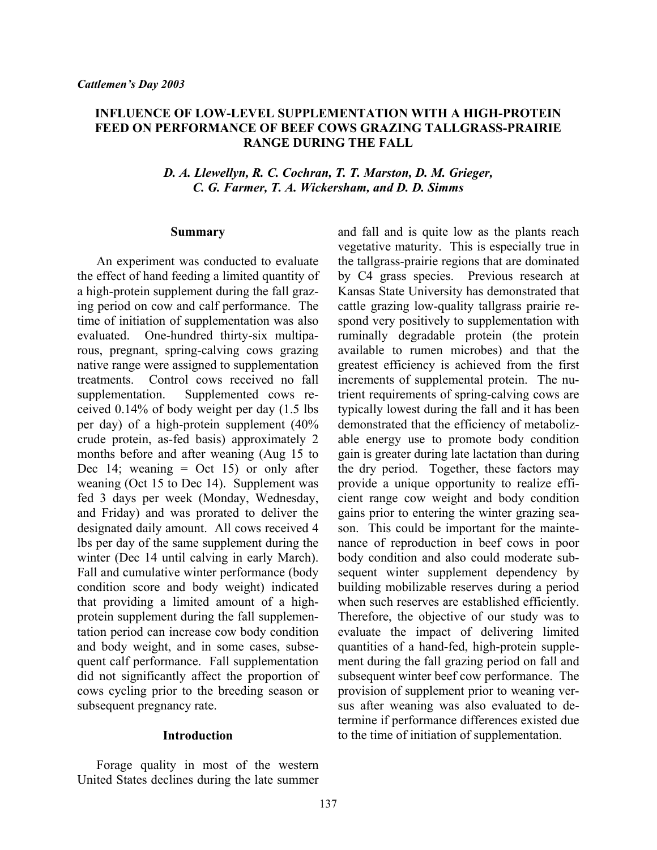#### **INFLUENCE OF LOW-LEVEL SUPPLEMENTATION WITH A HIGH-PROTEIN FEED ON PERFORMANCE OF BEEF COWS GRAZING TALLGRASS-PRAIRIE RANGE DURING THE FALL**

#### *D. A. Llewellyn, R. C. Cochran, T. T. Marston, D. M. Grieger, C. G. Farmer, T. A. Wickersham, and D. D. Simms*

#### **Summary**

An experiment was conducted to evaluate the effect of hand feeding a limited quantity of a high-protein supplement during the fall grazing period on cow and calf performance. The time of initiation of supplementation was also evaluated. One-hundred thirty-six multiparous, pregnant, spring-calving cows grazing native range were assigned to supplementation treatments. Control cows received no fall supplementation. Supplemented cows received 0.14% of body weight per day (1.5 lbs per day) of a high-protein supplement (40% crude protein, as-fed basis) approximately 2 months before and after weaning (Aug 15 to Dec 14; weaning  $=$  Oct 15) or only after weaning (Oct 15 to Dec 14). Supplement was fed 3 days per week (Monday, Wednesday, and Friday) and was prorated to deliver the designated daily amount. All cows received 4 lbs per day of the same supplement during the winter (Dec 14 until calving in early March). Fall and cumulative winter performance (body condition score and body weight) indicated that providing a limited amount of a highprotein supplement during the fall supplementation period can increase cow body condition and body weight, and in some cases, subsequent calf performance. Fall supplementation did not significantly affect the proportion of cows cycling prior to the breeding season or subsequent pregnancy rate.

#### **Introduction**

Forage quality in most of the western United States declines during the late summer and fall and is quite low as the plants reach vegetative maturity. This is especially true in the tallgrass-prairie regions that are dominated by C4 grass species. Previous research at Kansas State University has demonstrated that cattle grazing low-quality tallgrass prairie respond very positively to supplementation with ruminally degradable protein (the protein available to rumen microbes) and that the greatest efficiency is achieved from the first increments of supplemental protein. The nutrient requirements of spring-calving cows are typically lowest during the fall and it has been demonstrated that the efficiency of metabolizable energy use to promote body condition gain is greater during late lactation than during the dry period. Together, these factors may provide a unique opportunity to realize efficient range cow weight and body condition gains prior to entering the winter grazing season. This could be important for the maintenance of reproduction in beef cows in poor body condition and also could moderate subsequent winter supplement dependency by building mobilizable reserves during a period when such reserves are established efficiently. Therefore, the objective of our study was to evaluate the impact of delivering limited quantities of a hand-fed, high-protein supplement during the fall grazing period on fall and subsequent winter beef cow performance. The provision of supplement prior to weaning versus after weaning was also evaluated to determine if performance differences existed due to the time of initiation of supplementation.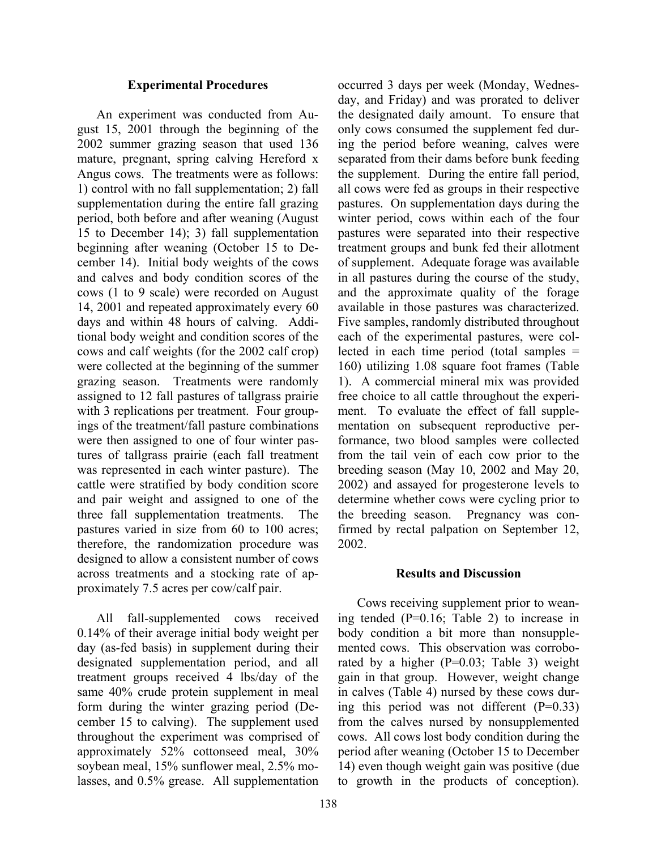#### **Experimental Procedures**

An experiment was conducted from August 15, 2001 through the beginning of the 2002 summer grazing season that used 136 mature, pregnant, spring calving Hereford x Angus cows. The treatments were as follows: 1) control with no fall supplementation; 2) fall supplementation during the entire fall grazing period, both before and after weaning (August 15 to December 14); 3) fall supplementation beginning after weaning (October 15 to December 14). Initial body weights of the cows and calves and body condition scores of the cows (1 to 9 scale) were recorded on August 14, 2001 and repeated approximately every 60 days and within 48 hours of calving. Additional body weight and condition scores of the cows and calf weights (for the 2002 calf crop) were collected at the beginning of the summer grazing season. Treatments were randomly assigned to 12 fall pastures of tallgrass prairie with 3 replications per treatment. Four groupings of the treatment/fall pasture combinations were then assigned to one of four winter pastures of tallgrass prairie (each fall treatment was represented in each winter pasture). The cattle were stratified by body condition score and pair weight and assigned to one of the three fall supplementation treatments. The pastures varied in size from 60 to 100 acres; therefore, the randomization procedure was designed to allow a consistent number of cows across treatments and a stocking rate of approximately 7.5 acres per cow/calf pair.

All fall-supplemented cows received 0.14% of their average initial body weight per day (as-fed basis) in supplement during their designated supplementation period, and all treatment groups received 4 lbs/day of the same 40% crude protein supplement in meal form during the winter grazing period (December 15 to calving). The supplement used throughout the experiment was comprised of approximately 52% cottonseed meal, 30% soybean meal, 15% sunflower meal, 2.5% molasses, and 0.5% grease. All supplementation

occurred 3 days per week (Monday, Wednesday, and Friday) and was prorated to deliver the designated daily amount. To ensure that only cows consumed the supplement fed during the period before weaning, calves were separated from their dams before bunk feeding the supplement. During the entire fall period, all cows were fed as groups in their respective pastures. On supplementation days during the winter period, cows within each of the four pastures were separated into their respective treatment groups and bunk fed their allotment of supplement. Adequate forage was available in all pastures during the course of the study, and the approximate quality of the forage available in those pastures was characterized. Five samples, randomly distributed throughout each of the experimental pastures, were collected in each time period (total samples = 160) utilizing 1.08 square foot frames (Table 1). A commercial mineral mix was provided free choice to all cattle throughout the experiment. To evaluate the effect of fall supplementation on subsequent reproductive performance, two blood samples were collected from the tail vein of each cow prior to the breeding season (May 10, 2002 and May 20, 2002) and assayed for progesterone levels to determine whether cows were cycling prior to the breeding season. Pregnancy was confirmed by rectal palpation on September 12, 2002.

#### **Results and Discussion**

Cows receiving supplement prior to weaning tended (P=0.16; Table 2) to increase in body condition a bit more than nonsupplemented cows. This observation was corroborated by a higher (P=0.03; Table 3) weight gain in that group. However, weight change in calves (Table 4) nursed by these cows during this period was not different  $(P=0.33)$ from the calves nursed by nonsupplemented cows. All cows lost body condition during the period after weaning (October 15 to December 14) even though weight gain was positive (due to growth in the products of conception).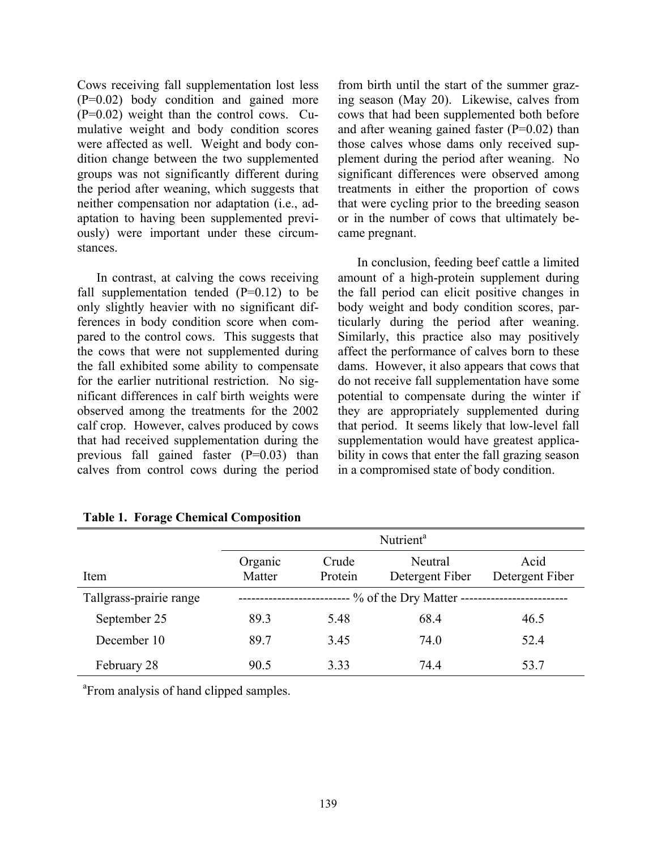Cows receiving fall supplementation lost less (P=0.02) body condition and gained more (P=0.02) weight than the control cows. Cumulative weight and body condition scores were affected as well. Weight and body condition change between the two supplemented groups was not significantly different during the period after weaning, which suggests that neither compensation nor adaptation (i.e., adaptation to having been supplemented previously) were important under these circumstances.

In contrast, at calving the cows receiving fall supplementation tended  $(P=0.12)$  to be only slightly heavier with no significant differences in body condition score when compared to the control cows. This suggests that the cows that were not supplemented during the fall exhibited some ability to compensate for the earlier nutritional restriction. No significant differences in calf birth weights were observed among the treatments for the 2002 calf crop. However, calves produced by cows that had received supplementation during the previous fall gained faster (P=0.03) than calves from control cows during the period

from birth until the start of the summer grazing season (May 20). Likewise, calves from cows that had been supplemented both before and after weaning gained faster  $(P=0.02)$  than those calves whose dams only received supplement during the period after weaning. No significant differences were observed among treatments in either the proportion of cows that were cycling prior to the breeding season or in the number of cows that ultimately became pregnant.

In conclusion, feeding beef cattle a limited amount of a high-protein supplement during the fall period can elicit positive changes in body weight and body condition scores, particularly during the period after weaning. Similarly, this practice also may positively affect the performance of calves born to these dams. However, it also appears that cows that do not receive fall supplementation have some potential to compensate during the winter if they are appropriately supplemented during that period. It seems likely that low-level fall supplementation would have greatest applicability in cows that enter the fall grazing season in a compromised state of body condition.

|                         | Nutrient <sup>a</sup>   |                  |                                                       |      |  |  |  |
|-------------------------|-------------------------|------------------|-------------------------------------------------------|------|--|--|--|
| Item                    | Organic<br>Matter       | Crude<br>Protein | Acid<br>Neutral<br>Detergent Fiber<br>Detergent Fiber |      |  |  |  |
| Tallgrass-prairie range | % of the Dry Matter --- |                  |                                                       |      |  |  |  |
| September 25            | 89.3                    | 5.48             | 68.4                                                  | 46.5 |  |  |  |
| December 10             | 89.7                    | 3.45             | 74.0                                                  | 52.4 |  |  |  |
| February 28             | 90.5                    | 3.33             | 74 4                                                  | 53.7 |  |  |  |

**Table 1. Forage Chemical Composition** 

<sup>a</sup> From analysis of hand clipped samples.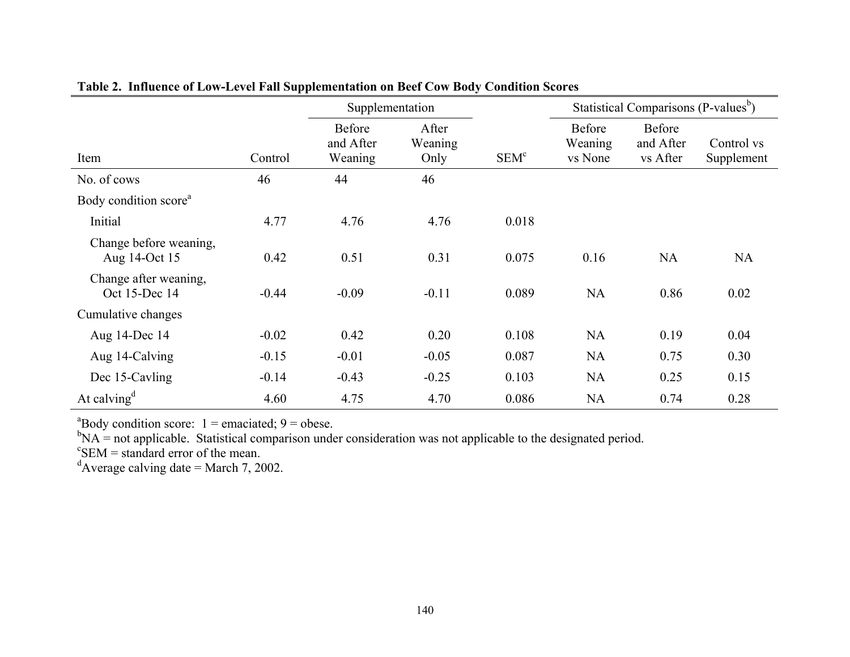|                                         |         | Supplementation                |                          |                  | Statistical Comparisons (P-values <sup>b</sup> ) |                                        |                          |  |
|-----------------------------------------|---------|--------------------------------|--------------------------|------------------|--------------------------------------------------|----------------------------------------|--------------------------|--|
| Item                                    | Control | Before<br>and After<br>Weaning | After<br>Weaning<br>Only | SEM <sup>c</sup> | <b>Before</b><br>Weaning<br>vs None              | <b>Before</b><br>and After<br>vs After | Control vs<br>Supplement |  |
| No. of cows                             | 46      | 44                             | 46                       |                  |                                                  |                                        |                          |  |
| Body condition score <sup>a</sup>       |         |                                |                          |                  |                                                  |                                        |                          |  |
| Initial                                 | 4.77    | 4.76                           | 4.76                     | 0.018            |                                                  |                                        |                          |  |
| Change before weaning,<br>Aug 14-Oct 15 | 0.42    | 0.51                           | 0.31                     | 0.075            | 0.16                                             | <b>NA</b>                              | <b>NA</b>                |  |
| Change after weaning,<br>Oct 15-Dec 14  | $-0.44$ | $-0.09$                        | $-0.11$                  | 0.089            | <b>NA</b>                                        | 0.86                                   | 0.02                     |  |
| Cumulative changes                      |         |                                |                          |                  |                                                  |                                        |                          |  |
| Aug 14-Dec 14                           | $-0.02$ | 0.42                           | 0.20                     | 0.108            | <b>NA</b>                                        | 0.19                                   | 0.04                     |  |
| Aug 14-Calving                          | $-0.15$ | $-0.01$                        | $-0.05$                  | 0.087            | <b>NA</b>                                        | 0.75                                   | 0.30                     |  |
| Dec 15-Cavling                          | $-0.14$ | $-0.43$                        | $-0.25$                  | 0.103            | NA                                               | 0.25                                   | 0.15                     |  |
| At calving <sup><math>d</math></sup>    | 4.60    | 4.75                           | 4.70                     | 0.086            | <b>NA</b>                                        | 0.74                                   | 0.28                     |  |

### **Table 2. Influence of Low-Level Fall Supplementation on Beef Cow Body Condition Scores**

 ${}^{a}$ Body condition score: 1 = emaciated; 9 = obese.

 $b_{\text{NA}}$  = not applicable. Statistical comparison under consideration was not applicable to the designated period.

 $\mathrm{c}^{\mathrm{c}}$ SEM = standard error of the mean.

 $d$ Average calving date = March 7, 2002.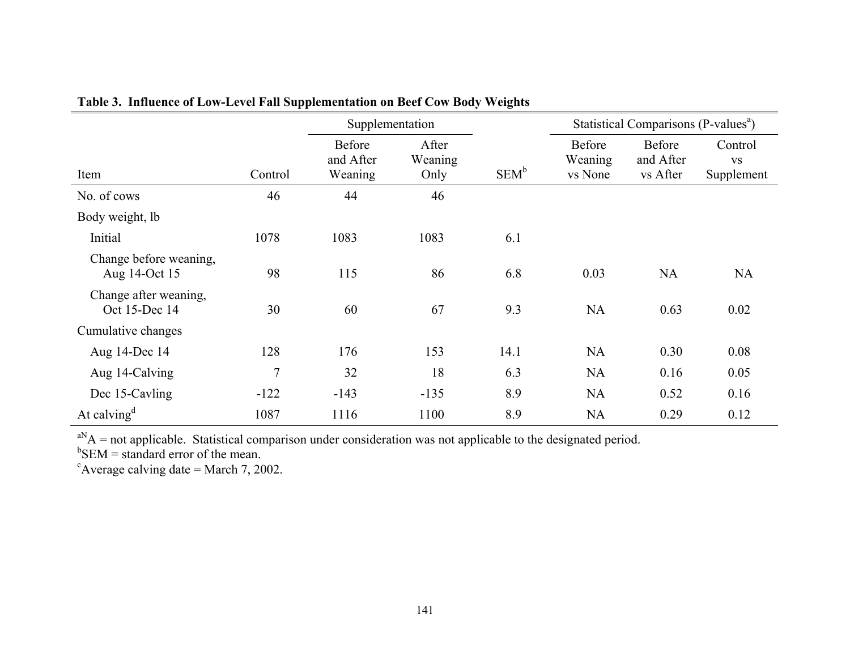|                                         |         | Supplementation                |                          |         | Statistical Comparisons (P-values <sup>a</sup> ) |                                 |                                    |  |
|-----------------------------------------|---------|--------------------------------|--------------------------|---------|--------------------------------------------------|---------------------------------|------------------------------------|--|
| Item                                    | Control | Before<br>and After<br>Weaning | After<br>Weaning<br>Only | $SEM^b$ | Before<br>Weaning<br>vs None                     | Before<br>and After<br>vs After | Control<br><b>VS</b><br>Supplement |  |
| No. of cows                             | 46      | 44                             | 46                       |         |                                                  |                                 |                                    |  |
| Body weight, lb                         |         |                                |                          |         |                                                  |                                 |                                    |  |
| Initial                                 | 1078    | 1083                           | 1083                     | 6.1     |                                                  |                                 |                                    |  |
| Change before weaning,<br>Aug 14-Oct 15 | 98      | 115                            | 86                       | 6.8     | 0.03                                             | <b>NA</b>                       | <b>NA</b>                          |  |
| Change after weaning,<br>Oct 15-Dec 14  | 30      | 60                             | 67                       | 9.3     | <b>NA</b>                                        | 0.63                            | 0.02                               |  |
| Cumulative changes                      |         |                                |                          |         |                                                  |                                 |                                    |  |
| Aug 14-Dec 14                           | 128     | 176                            | 153                      | 14.1    | <b>NA</b>                                        | 0.30                            | 0.08                               |  |
| Aug 14-Calving                          | 7       | 32                             | 18                       | 6.3     | <b>NA</b>                                        | 0.16                            | 0.05                               |  |
| Dec 15-Cavling                          | $-122$  | $-143$                         | $-135$                   | 8.9     | <b>NA</b>                                        | 0.52                            | 0.16                               |  |
| At calving <sup><math>d</math></sup>    | 1087    | 1116                           | 1100                     | 8.9     | <b>NA</b>                                        | 0.29                            | 0.12                               |  |

# **Table 3. Influence of Low-Level Fall Supplementation on Beef Cow Body Weights**

 $a<sup>N</sup>A$  = not applicable. Statistical comparison under consideration was not applicable to the designated period.

 $b$ SEM = standard error of the mean.

 $c$ Average calving date = March 7, 2002.